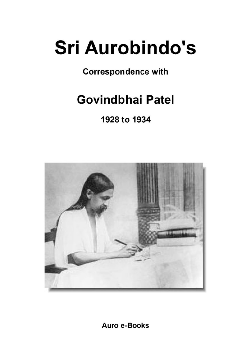# **Sri Aurobindo's**

**Correspondence with** 

## **Govindbhai Patel**

## 1928 to 1934



Auro e-Books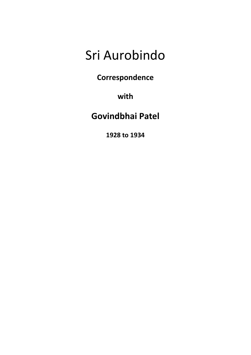## Sri Aurobindo

**Correspondence**

**with**

**Govindbhai Patel**

**1928 to 1934**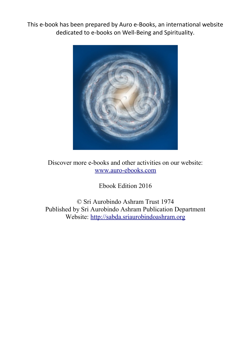This e-book has been prepared by Auro e-Books, an international website dedicated to e-books on Well-Being and Spirituality.



Discover more e-books and other activities on our website: [www.auro-ebooks.com](http://www.auro-ebooks.com/)

Ebook Edition 2016

© Sri Aurobindo Ashram Trust 1974 Published by Sri Aurobindo Ashram Publication Department Website: [http://sabda.sriaurobindoashram.org](http://sabda.sriaurobindoashram.org/)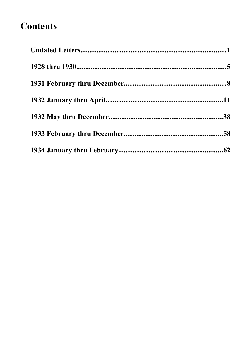## **Contents**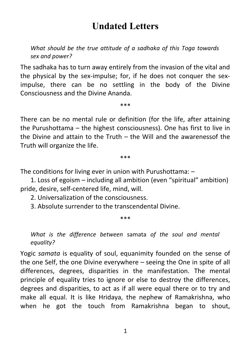### <span id="page-4-0"></span>**Undated Letters**

*What should be the true attitude of a sadhaka of this Toga towards sex and power?*

The sadhaka has to turn away entirely from the invasion of the vital and the physical by the sex-impulse; for, if he does not conquer the seximpulse, there can be no settling in the body of the Divine Consciousness and the Divine Ananda.

\*\*\*

There can be no mental rule or definition (for the life, after attaining the Purushottama – the highest consciousness). One has first to live in the Divine and attain to the Truth – the Will and the awarenessof the Truth will organize the life.

\*\*\*

The conditions for living ever in union with Purushottama: –

1. Loss of egoism – including all ambition (even "spiritual" ambition) pride, desire, self-centered life, mind, will.

2. Universalization of the consciousness.

3. Absolute surrender to the transcendental Divine.

\*\*\*

*What is the difference between* samata *of the soul and mental equality?*

Yogic *samata* is equality of soul, equanimity founded on the sense of the one Self, the one Divine everywhere – seeing the One in spite of all differences, degrees, disparities in the manifestation. The mental principle of equality tries to ignore or else to destroy the differences, degrees and disparities, to act as if all were equal there or to try and make all equal. It is like Hridaya, the nephew of Ramakrishna, who when he got the touch from Ramakrishna began to shout,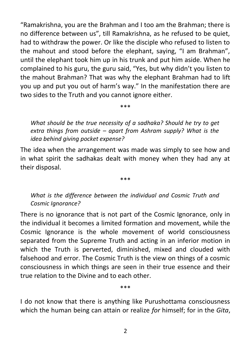"Ramakrishna, you are the Brahman and I too am the Brahman; there is no difference between us", till Ramakrishna, as he refused to be quiet, had to withdraw the power. Or like the disciple who refused to listen to the mahout and stood before the elephant, saying, "I am Brahman", until the elephant took him up in his trunk and put him aside. When he complained to his guru, the guru said, "Yes, but why didn't you listen to the mahout Brahman? That was why the elephant Brahman had to lift you up and put you out of harm's way." In the manifestation there are two sides to the Truth and you cannot ignore either.

*What should be the true necessity of a sadhaka? Should he try to get extra things from outside – apart from Ashram supply? What is the idea behind giving pocket expense?*

\*\*\*

The idea when the arrangement was made was simply to see how and in what spirit the sadhakas dealt with money when they had any at their disposal.

\*\*\*

*What is the difference between the individual and Cosmic Truth and Cosmic Ignorance?*

There is no ignorance that is not part of the Cosmic Ignorance, only in the individual it becomes a limited formation and movement, while the Cosmic Ignorance is the whole movement of world consciousness separated from the Supreme Truth and acting in an inferior motion in which the Truth is perverted, diminished, mixed and clouded with falsehood and error. The Cosmic Truth is the view on things of a cosmic consciousness in which things are seen in their true essence and their true relation to the Divine and to each other.

\*\*\*

I do not know that there is anything like Purushottama consciousness which the human being can attain or realize *for* himself; for in the *Gita*,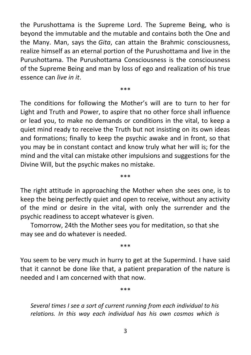the Purushottama is the Supreme Lord. The Supreme Being, who is beyond the immutable and the mutable and contains both the One and the Many. Man, says the *Gita*, can attain the Brahmic consciousness, realize himself as an eternal portion of the Purushottama and live in the Purushottama. The Purushottama Consciousness is the consciousness of the Supreme Being and man by loss of ego and realization of his true essence can *live in it*.

\*\*\*

The conditions for following the Mother's will are to turn to her for Light and Truth and Power, to aspire that no other force shall influence or lead you, to make no demands or conditions in the vital, to keep a quiet mind ready to receive the Truth but not insisting on its own ideas and formations; finally to keep the psychic awake and in front, so that you may be in constant contact and know truly what her will is; for the mind and the vital can mistake other impulsions and suggestions for the Divine Will, but the psychic makes no mistake.

The right attitude in approaching the Mother when she sees one, is to keep the being perfectly quiet and open to receive, without any activity of the mind or desire in the vital, with only the surrender and the psychic readiness to accept whatever is given.

\*\*\*

Tomorrow, 24th the Mother sees you for meditation, so that she may see and do whatever is needed.

You seem to be very much in hurry to get at the Supermind. I have said that it cannot be done like that, a patient preparation of the nature is needed and I am concerned with that now.

\*\*\*

\*\*\*

*Several times I see a sort of current running from each individual to his relations. In this way each individual has his own cosmos which is*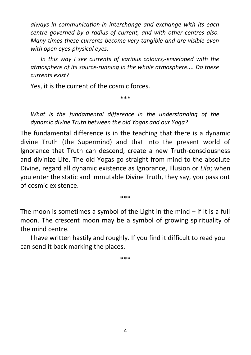*always in communication-in interchange and exchange with its each centre governed by a radius of current, and with other centres also. Many times these currents become very tangible and are visible even with open eyes-physical eyes.*

*In this way I see currents of various colours,-enveloped with the atmosphere of its source-running in the whole atmosphere.... Do these currents exist?*

Yes, it is the current of the cosmic forces.

*What is the fundamental difference in the understanding of the dynamic divine Truth between the old Yogas and our Yoga?*

\*\*\*

The fundamental difference is in the teaching that there is a dynamic divine Truth (the Supermind) and that into the present world of Ignorance that Truth can descend, create a new Truth-consciousness and divinize Life. The old Yogas go straight from mind to the absolute Divine, regard all dynamic existence as Ignorance, Illusion or *Lila*; when you enter the static and immutable Divine Truth, they say, you pass out of cosmic existence.

\*\*\*

The moon is sometimes a symbol of the Light in the mind – if it is a full moon. The crescent moon may be a symbol of growing spirituality of the mind centre.

I have written hastily and roughly. If you find it difficult to read you can send it back marking the places.

\*\*\*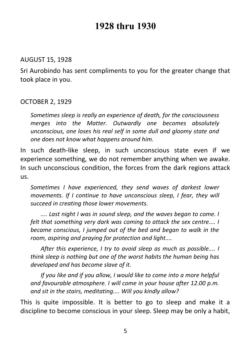### <span id="page-8-0"></span>**1928 thru 1930**

#### AUGUST 15, 1928

Sri Aurobindo has sent compliments to you for the greater change that took place in you.

#### OCTOBER 2, 1929

*Sometimes sleep is really an experience of death, for the consciousness merges into the Matter. Outwardly one becomes absolutely unconscious, one loses his real self in some dull and gloomy state and one does not know what happens around him.*

In such death-like sleep, in such unconscious state even if we experience something, we do not remember anything when we awake. In such unconscious condition, the forces from the dark regions attack us.

*Sometimes I have experienced, they send waves of darkest lower movements. If I continue to have unconscious sleep, I fear, they will succeed in creating those lower movements.*

*.... Last night I was in sound sleep, and the waves began to come. I felt that something very dark was coming to attack the sex centre.... I became conscious, I jumped out of the bed and began to walk in the room, aspiring and praying for protection and light....*

*After this experience, I try to avoid sleep as much as possible.... I think sleep is nothing but one of the worst habits the human being has developed and has become slave of it.*

*If you like and if you allow, I would like to come into a more helpful and favourable atmosphere. I will come in your house after 12.00 p.m. and sit in the stairs, meditating.... Will you kindly allow?*

This is quite impossible. It is better to go to sleep and make it a discipline to become conscious in your sleep. Sleep may be only a habit,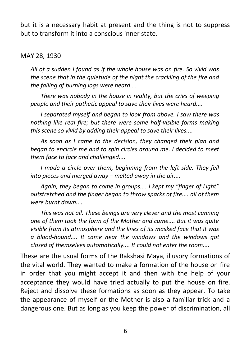but it is a necessary habit at present and the thing is not to suppress but to transform it into a conscious inner state.

#### MAY 28, 1930

*All of a sudden I found as if the whole house was on fire. So vivid was the scene that in the quietude of the night the crackling of the fire and the falling of burning logs were heard....*

*There was nobody in the house in reality, but the cries of weeping people and their pathetic appeal to save their lives were heard....*

*I separated myself and began to look from above. I saw there was nothing like real fire; but there were some half-visible forms making this scene so vivid by adding their appeal to save their lives....*

*As soon as I came to the decision, they changed their plan and began to encircle me and to spin circles around me. I decided to meet them face to face and challenged....*

*I made a circle over them, beginning from the left side. They fell into pieces and merged away – melted away in the air....*

*Again, they began to come in groups.... I kept my "finger of Light" outstretched and the finger began to throw sparks of fire.... all of them were burnt down....*

*This was not all. These beings are very clever and the most cunning one of them took the form of the Mother and came.... But it was quite visible from its atmosphere and the lines of its masked face that it was a blood-hound.... It came near the windows and the windows got closed of themselves automatically.... It could not enter the room....*

These are the usual forms of the Rakshasi Maya, illusory formations of the vital world. They wanted to make a formation of the house on fire in order that you might accept it and then with the help of your acceptance they would have tried actually to put the house on fire. Reject and dissolve these formations as soon as they appear. To take the appearance of myself or the Mother is also a familiar trick and a dangerous one. But as long as you keep the power of discrimination, all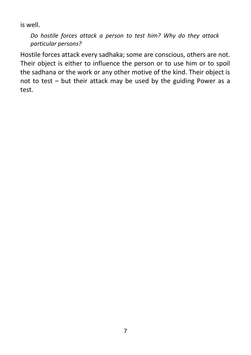is well.

*Do hostile forces attack a person to test him? Why do they attack particular persons?*

Hostile forces attack every sadhaka; some are conscious, others are not. Their object is either to influence the person or to use him or to spoil the sadhana or the work or any other motive of the kind. Their object is not to test – but their attack may be used by the guiding Power as a test.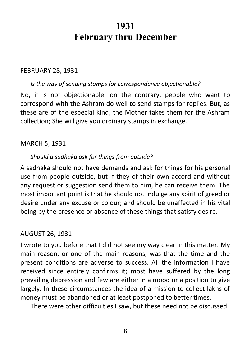## <span id="page-11-0"></span>**1931 February thru December**

#### FEBRUARY 28, 1931

#### *Is the way of sending stamps for correspondence objectionable?*

No, it is not objectionable; on the contrary, people who want to correspond with the Ashram do well to send stamps for replies. But, as these are of the especial kind, the Mother takes them for the Ashram collection; She will give you ordinary stamps in exchange.

#### MARCH 5, 1931

#### *Should a sadhaka ask for things from outside?*

A sadhaka should not have demands and ask for things for his personal use from people outside, but if they of their own accord and without any request or suggestion send them to him, he can receive them. The most important point is that he should not indulge any spirit of greed or desire under any excuse or colour; and should be unaffected in his vital being by the presence or absence of these things that satisfy desire.

#### AUGUST 26, 1931

I wrote to you before that I did not see my way clear in this matter. My main reason, or one of the main reasons, was that the time and the present conditions are adverse to success. All the information I have received since entirely confirms it; most have suffered by the long prevailing depression and few are either in a mood or a position to give largely. In these circumstances the idea of a mission to collect lakhs of money must be abandoned or at least postponed to better times.

There were other difficulties I saw, but these need not be discussed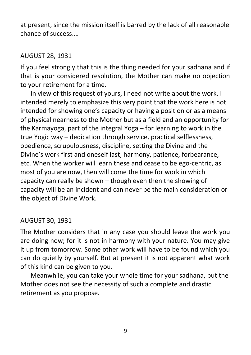at present, since the mission itself is barred by the lack of all reasonable chance of success.…

#### AUGUST 28, 1931

If you feel strongly that this is the thing needed for your sadhana and if that is your considered resolution, the Mother can make no objection to your retirement for a time.

In view of this request of yours, I need not write about the work. I intended merely to emphasize this very point that the work here is not intended for showing one's capacity or having a position or as a means of physical nearness to the Mother but as a field and an opportunity for the Karmayoga, part of the integral Yoga – for learning to work in the true Yogic way – dedication through service, practical selflessness, obedience, scrupulousness, discipline, setting the Divine and the Divine's work first and oneself last; harmony, patience, forbearance, etc. When the worker will learn these and cease to be ego-centric, as most of you are now, then will come the time for work in which capacity can really be shown – though even then the showing of capacity will be an incident and can never be the main consideration or the object of Divine Work.

#### AUGUST 30, 1931

The Mother considers that in any case you should leave the work you are doing now; for it is not in harmony with your nature. You may give it up from tomorrow. Some other work will have to be found which you can do quietly by yourself. But at present it is not apparent what work of this kind can be given to you.

Meanwhile, you can take your whole time for your sadhana, but the Mother does not see the necessity of such a complete and drastic retirement as you propose.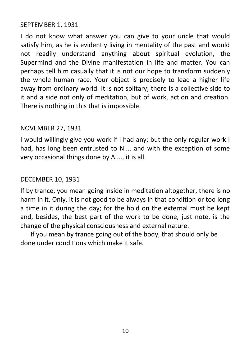#### SEPTEMBER 1, 1931

I do not know what answer you can give to your uncle that would satisfy him, as he is evidently living in mentality of the past and would not readily understand anything about spiritual evolution, the Supermind and the Divine manifestation in life and matter. You can perhaps tell him casually that it is not our hope to transform suddenly the whole human race. Your object is precisely to lead a higher life away from ordinary world. It is not solitary; there is a collective side to it and a side not only of meditation, but of work, action and creation. There is nothing in this that is impossible.

#### NOVEMBER 27, 1931

I would willingly give you work if I had any; but the only regular work I had, has long been entrusted to N.... and with the exception of some very occasional things done by A...., it is all.

#### DECEMBER 10, 1931

If by trance, you mean going inside in meditation altogether, there is no harm in it. Only, it is not good to be always in that condition or too long a time in it during the day; for the hold on the external must be kept and, besides, the best part of the work to be done, just note, is the change of the physical consciousness and external nature.

If you mean by trance going out of the body, that should only be done under conditions which make it safe.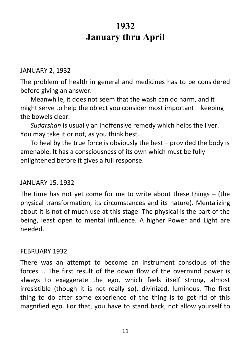## <span id="page-14-0"></span>**1932 January thru April**

#### JANUARY 2, 1932

The problem of health in general and medicines has to be considered before giving an answer.

Meanwhile, it does not seem that the wash can do harm, and it might serve to help the object you consider most important – keeping the bowels clear.

*Sudarshan* is usually an inoffensive remedy which helps the liver. You may take it or not, as you think best.

To heal by the true force is obviously the best – provided the body is amenable. It has a consciousness of its own which must be fully enlightened before it gives a full response.

#### JANUARY 15, 1932

The time has not yet come for me to write about these things – (the physical transformation, its circumstances and its nature). Mentalizing about it is not of much use at this stage: The physical is the part of the being, least open to mental influence. A higher Power and Light are needed.

#### FEBRUARY 1932

There was an attempt to become an instrument conscious of the forces.... The first result of the down flow of the overmind power is always to exaggerate the ego, which feels itself strong, almost irresistible (though it is not really so), divinized, luminous. The first thing to do after some experience of the thing is to get rid of this magnified ego. For that, you have to stand back, not allow yourself to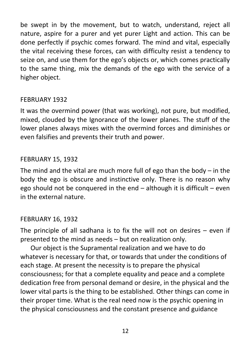be swept in by the movement, but to watch, understand, reject all nature, aspire for a purer and yet purer Light and action. This can be done perfectly if psychic comes forward. The mind and vital, especially the vital receiving these forces, can with difficulty resist a tendency to seize on, and use them for the ego's objects or, which comes practically to the same thing, mix the demands of the ego with the service of a higher object.

#### FEBRUARY 1932

It was the overmind power (that was working), not pure, but modified, mixed, clouded by the Ignorance of the lower planes. The stuff of the lower planes always mixes with the overmind forces and diminishes or even falsifies and prevents their truth and power.

#### FEBRUARY 15, 1932

The mind and the vital are much more full of ego than the body  $-$  in the body the ego is obscure and instinctive only. There is no reason why ego should not be conquered in the end – although it is difficult – even in the external nature.

#### FEBRUARY 16, 1932

The principle of all sadhana is to fix the will not on desires  $-$  even if presented to the mind as needs – but on realization only.

Our object is the Supramental realization and we have to do whatever is necessary for that, or towards that under the conditions of each stage. At present the necessity is to prepare the physical consciousness; for that a complete equality and peace and a complete dedication free from personal demand or desire, in the physical and the lower vital parts is the thing to be established. Other things can come in their proper time. What is the real need now is the psychic opening in the physical consciousness and the constant presence and guidance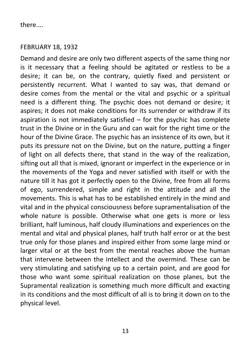#### there....

#### FEBRUARY 18, 1932

Demand and desire are only two different aspects of the same thing nor is it necessary that a feeling should be agitated or restless to be a desire; it can be, on the contrary, quietly fixed and persistent or persistently recurrent. What I wanted to say was, that demand or desire comes from the mental or the vital and psychic or a spiritual need is a different thing. The psychic does not demand or desire; it aspires; it does not make conditions for its surrender or withdraw if its aspiration is not immediately satisfied  $-$  for the psychic has complete trust in the Divine or in the Guru and can wait for the right time or the hour of the Divine Grace. The psychic has an insistence of its own, but it puts its pressure not on the Divine, but on the nature, putting a finger of light on all defects there, that stand in the way of the realization, sifting out all that is mixed, ignorant or imperfect in the experience or in the movements of the Yoga and never satisfied with itself or with the nature till it has got it perfectly open to the Divine, free from all forms of ego, surrendered, simple and right in the attitude and all the movements. This is what has to be established entirely in the mind and vital and in the physical consciousness before supramentalisation of the whole nature is possible. Otherwise what one gets is more or less brilliant, half luminous, half cloudy illuminations and experiences on the mental and vital and physical planes, half truth half error or at the best true only for those planes and inspired either from some large mind or larger vital or at the best from the mental reaches above the human that intervene between the intellect and the overmind. These can be very stimulating and satisfying up to a certain point, and are good for those who want some spiritual realization on those planes, but the Supramental realization is something much more difficult and exacting in its conditions and the most difficult of all is to bring it down on to the physical level.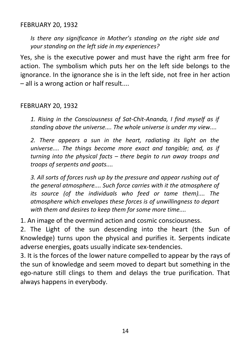#### FEBRUARY 20, 1932

*Is there any significance in Mother's standing on the right side and your standing on the left side in my experiences?*

Yes, she is the executive power and must have the right arm free for action. The symbolism which puts her on the left side belongs to the ignorance. In the ignorance she is in the left side, not free in her action – all is a wrong action or half result....

#### FEBRUARY 20, 1932

*1. Rising in the Consciousness of Sat-Chit-Ananda, I find myself as if standing above the universe.... The whole universe is under my view....*

*2. There appears a sun in the heart, radiating its light on the universe.... The things become more exact and tangible; and, as if turning into the physical facts – there begin to run away troops and troops of serpents and goats....*

*3. All sorts of forces rush up by the pressure and appear rushing out of the general atmosphere.... Such force carries with it the atmosphere of its source (of the individuals who feed or tame them).... The atmosphere which envelopes these forces is of unwillingness to depart with them and desires to keep them for some more time....*

1. An image of the overmind action and cosmic consciousness.

2. The Light of the sun descending into the heart (the Sun of Knowledge) turns upon the physical and purifies it. Serpents indicate adverse energies, goats usually indicate sex-tendencies.

3. It is the forces of the lower nature compelled to appear by the rays of the sun of knowledge and seem moved to depart but something in the ego-nature still clings to them and delays the true purification. That always happens in everybody.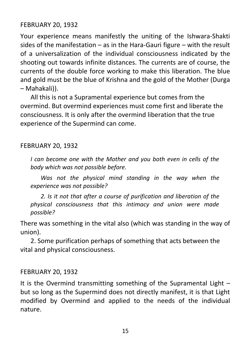#### FEBRUARY 20, 1932

Your experience means manifestly the uniting of the Ishwara-Shakti sides of the manifestation – as in the Hara-Gauri figure – with the result of a universalization of the individual consciousness indicated by the shooting out towards infinite distances. The currents are of course, the currents of the double force working to make this liberation. The blue and gold must be the blue of Krishna and the gold of the Mother (Durga – Mahakali)).

All this is not a Supramental experience but comes from the overmind. But overmind experiences must come first and liberate the consciousness. It is only after the overmind liberation that the true experience of the Supermind can come.

#### FEBRUARY 20, 1932

*I can become one with the Mother and you both even in cells of the body which was not possible before.*

*Was not the physical mind standing in the way when the experience was not possible?*

*2. Is it not that after a course of purification and liberation of the physical consciousness that this intimacy and union were made possible?*

There was something in the vital also (which was standing in the way of union).

2. Some purification perhaps of something that acts between the vital and physical consciousness.

#### FEBRUARY 20, 1932

It is the Overmind transmitting something of the Supramental Light – but so long as the Supermind does not directly manifest, it is that Light modified by Overmind and applied to the needs of the individual nature.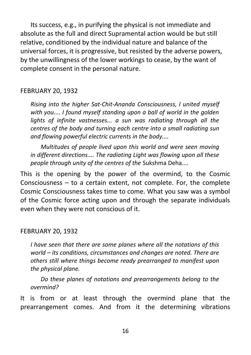Its success, e.g., in purifying the physical is not immediate and absolute as the full and direct Supramental action would be but still relative, conditioned by the individual nature and balance of the universal forces, it is progressive, but resisted by the adverse powers, by the unwillingness of the lower workings to cease, by the want of complete consent in the personal nature.

#### FEBRUARY 20, 1932

*Rising into the higher Sat-Chit-Ananda Consciousness, I united myself with you.... I found myself standing upon a ball of world in the golden lights of infinite vastnesses... a sun was radiating through all the centres of the body and turning each centre into a small radiating sun and flowing powerful electric currents in the body....*

*Multitudes of people lived upon this world and were seen moving in different directions.... The radiating Light was flowing upon all these people through unity of the centres of the* Sukshma Deha*....*

This is the opening by the power of the overmind, to the Cosmic Consciousness – to a certain extent, not complete. For, the complete Cosmic Consciousness takes time to come. What you saw was a symbol of the Cosmic force acting upon and through the separate individuals even when they were not conscious of it.

#### FEBRUARY 20, 1932

*I have seen that there are some planes where all the notations of this world – its conditions, circumstances and changes are noted. There are others still where things become ready prearranged to manifest upon the physical plane.*

*Do these planes of notations and prearrangements belong to the overmind?*

It is from or at least through the overmind plane that the prearrangement comes. And from it the determining vibrations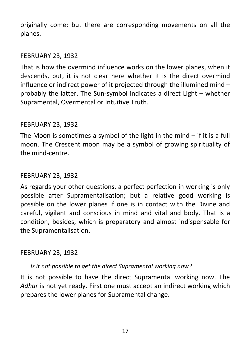originally come; but there are corresponding movements on all the planes.

#### FEBRUARY 23, 1932

That is how the overmind influence works on the lower planes, when it descends, but, it is not clear here whether it is the direct overmind influence or indirect power of it projected through the illumined mind – probably the latter. The Sun-symbol indicates a direct Light – whether Supramental, Overmental or Intuitive Truth.

#### FEBRUARY 23, 1932

The Moon is sometimes a symbol of the light in the mind  $-$  if it is a full moon. The Crescent moon may be a symbol of growing spirituality of the mind-centre.

#### FEBRUARY 23, 1932

As regards your other questions, a perfect perfection in working is only possible after Supramentalisation; but a relative good working is possible on the lower planes if one is in contact with the Divine and careful, vigilant and conscious in mind and vital and body. That is a condition, besides, which is preparatory and almost indispensable for the Supramentalisation.

#### FEBRUARY 23, 1932

#### *Is it not possible to get the direct Supramental working now?*

It is not possible to have the direct Supramental working now. The *Adhar* is not yet ready. First one must accept an indirect working which prepares the lower planes for Supramental change.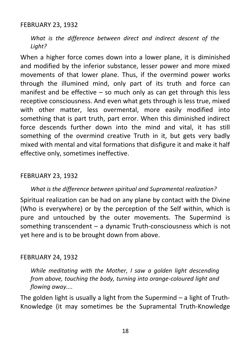#### FEBRUARY 23, 1932

*What is the difference between direct and indirect descent of the Light?*

When a higher force comes down into a lower plane, it is diminished and modified by the inferior substance, lesser power and more mixed movements of that lower plane. Thus, if the overmind power works through the illumined mind, only part of its truth and force can manifest and be effective – so much only as can get through this less receptive consciousness. And even what gets through is less true, mixed with other matter, less overmental, more easily modified into something that is part truth, part error. When this diminished indirect force descends further down into the mind and vital, it has still something of the overmind creative Truth in it, but gets very badly mixed with mental and vital formations that disfigure it and make it half effective only, sometimes ineffective.

#### FEBRUARY 23, 1932

#### *What is the difference between spiritual and Supramental realization?*

Spiritual realization can be had on any plane by contact with the Divine (Who is everywhere) or by the perception of the Self within, which is pure and untouched by the outer movements. The Supermind is something transcendent – a dynamic Truth-consciousness which is not yet here and is to be brought down from above.

#### FEBRUARY 24, 1932

*While meditating with the Mother, I saw a golden light descending from above, touching the body, turning into orange-coloured light and flowing away....*

The golden light is usually a light from the Supermind – a light of Truth-Knowledge (it may sometimes be the Supramental Truth-Knowledge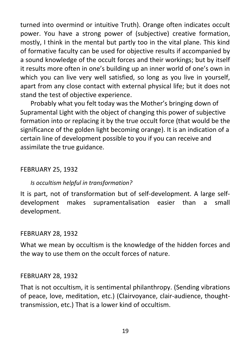turned into overmind or intuitive Truth). Orange often indicates occult power. You have a strong power of (subjective) creative formation, mostly, I think in the mental but partly too in the vital plane. This kind of formative faculty can be used for objective results if accompanied by a sound knowledge of the occult forces and their workings; but by itself it results more often in one's building up an inner world of one's own in which you can live very well satisfied, so long as you live in yourself, apart from any close contact with external physical life; but it does not stand the test of objective experience.

Probably what you felt today was the Mother's bringing down of Supramental Light with the object of changing this power of subjective formation into or replacing it by the true occult force (that would be the significance of the golden light becoming orange). It is an indication of a certain line of development possible to you if you can receive and assimilate the true guidance.

#### FEBRUARY 25, 1932

#### *Is occultism helpful in transformation?*

It is part, not of transformation but of self-development. A large selfdevelopment makes supramentalisation easier than a small development.

#### FEBRUARY 28, 1932

What we mean by occultism is the knowledge of the hidden forces and the way to use them on the occult forces of nature.

#### FEBRUARY 28, 1932

That is not occultism, it is sentimental philanthropy. (Sending vibrations of peace, love, meditation, etc.) (Clairvoyance, clair-audience, thoughttransmission, etc.) That is a lower kind of occultism.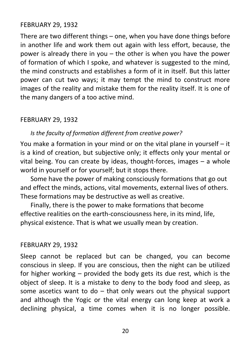#### FEBRUARY 29, 1932

There are two different things – one, when you have done things before in another life and work them out again with less effort, because, the power is already there in you – the other is when you have the power of formation of which I spoke, and whatever is suggested to the mind, the mind constructs and establishes a form of it in itself. But this latter power can cut two ways; it may tempt the mind to construct more images of the reality and mistake them for the reality itself. It is one of the many dangers of a too active mind.

#### FEBRUARY 29, 1932

#### *Is the faculty of formation different from creative power?*

You make a formation in your mind or on the vital plane in yourself – it is a kind of creation, but subjective only; it effects only your mental or vital being. You can create by ideas, thought-forces, images – a whole world in yourself or for yourself; but it stops there.

Some have the power of making consciously formations that go out and effect the minds, actions, vital movements, external lives of others. These formations may be destructive as well as creative.

Finally, there is the power to make formations that become effective realities on the earth-consciousness here, in its mind, life, physical existence. That is what we usually mean by creation.

#### FEBRUARY 29, 1932

Sleep cannot be replaced but can be changed, you can become conscious in sleep. If you are conscious, then the night can be utilized for higher working – provided the body gets its due rest, which is the object of sleep. It is a mistake to deny to the body food and sleep, as some ascetics want to  $do - that$  only wears out the physical support and although the Yogic or the vital energy can long keep at work a declining physical, a time comes when it is no longer possible.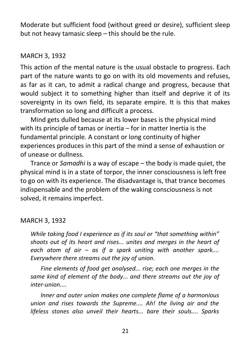Moderate but sufficient food (without greed or desire), sufficient sleep but not heavy tamasic sleep – this should be the rule.

#### MARCH 3, 1932

This action of the mental nature is the usual obstacle to progress. Each part of the nature wants to go on with its old movements and refuses, as far as it can, to admit a radical change and progress, because that would subject it to something higher than itself and deprive it of its sovereignty in its own field, its separate empire. It is this that makes transformation so long and difficult a process.

Mind gets dulled because at its lower bases is the physical mind with its principle of tamas or inertia – for in matter Inertia is the fundamental principle. A constant or long continuity of higher experiences produces in this part of the mind a sense of exhaustion or of unease or dullness.

Trance or *Samadhi* is a way of escape – the body is made quiet, the physical mind is in a state of torpor, the inner consciousness is left free to go on with its experience. The disadvantage is, that trance becomes indispensable and the problem of the waking consciousness is not solved, it remains imperfect.

#### MARCH 3, 1932

*While taking food I experience as if its soul or "that something within" shoots out of its heart and rises... unites and merges in the heart of each atom of air – as if a spark uniting with another spark.... Everywhere there streams out the joy of union.*

*Fine elements of food get analysed... rise; each one merges in the same kind of element of the body... and there streams out the joy of inter-union....*

*Inner and outer union makes one complete flame of a harmonious union and rises towards the Supreme.... Ah! the living air and the lifeless stones also unveil their hearts... bare their souls.... Sparks*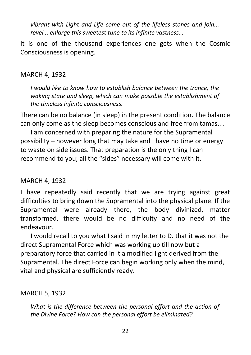*vibrant with Light and Life come out of the lifeless stones and join... revel... enlarge this sweetest tune to its infinite vastness...*

It is one of the thousand experiences one gets when the Cosmic Consciousness is opening.

#### MARCH 4, 1932

*I would like to know how to establish balance between the trance, the waking state and sleep, which can make possible the establishment of the timeless infinite consciousness.*

There can be no balance (in sleep) in the present condition. The balance can only come as the sleep becomes conscious and free from tamas....

I am concerned with preparing the nature for the Supramental possibility – however long that may take and I have no time or energy to waste on side issues. That preparation is the only thing I can recommend to you; all the "sides" necessary will come with it.

#### MARCH 4, 1932

I have repeatedly said recently that we are trying against great difficulties to bring down the Supramental into the physical plane. If the Supramental were already there, the body divinized, matter transformed, there would be no difficulty and no need of the endeavour.

I would recall to you what I said in my letter to D. that it was not the direct Supramental Force which was working up till now but a preparatory force that carried in it a modified light derived from the Supramental. The direct Force can begin working only when the mind, vital and physical are sufficiently ready.

#### MARCH 5, 1932

*What is the difference between the personal effort and the action of the Divine Force? How can the personal effort be eliminated?*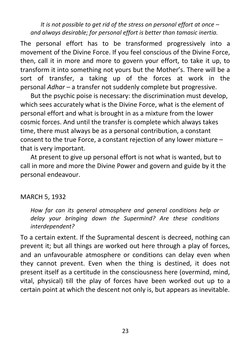*It is not possible to get rid of the stress on personal effort at once – and always desirable; for personal effort is better than tamasic inertia.*

The personal effort has to be transformed progressively into a movement of the Divine Force. If you feel conscious of the Divine Force, then, call it in more and more to govern your effort, to take it up, to transform it into something not yours but the Mother's. There will be a sort of transfer, a taking up of the forces at work in the personal *Adhar* – a transfer not suddenly complete but progressive.

But the psychic poise is necessary: the discrimination must develop, which sees accurately what is the Divine Force, what is the element of personal effort and what is brought in as a mixture from the lower cosmic forces. And until the transfer is complete which always takes time, there must always be as a personal contribution, a constant consent to the true Force, a constant rejection of any lower mixture – that is very important.

At present to give up personal effort is not what is wanted, but to call in more and more the Divine Power and govern and guide by it the personal endeavour.

#### MARCH 5, 1932

*How far can its general atmosphere and general conditions help or delay your bringing down the Supermind? Are these conditions interdependent?*

To a certain extent. If the Supramental descent is decreed, nothing can prevent it; but all things are worked out here through a play of forces, and an unfavourable atmosphere or conditions can delay even when they cannot prevent. Even when the thing is destined, it does not present itself as a certitude in the consciousness here (overmind, mind, vital, physical) till the play of forces have been worked out up to a certain point at which the descent not only is, but appears as inevitable.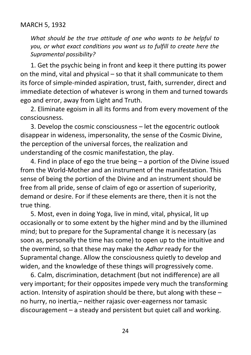#### MARCH 5, 1932

*What should be the true attitude of one who wants to be helpful to you, or what exact conditions you want us to fulfill to create here the Supramental possibility?*

1. Get the psychic being in front and keep it there putting its power on the mind, vital and physical – so that it shall communicate to them its force of simple-minded aspiration, trust, faith, surrender, direct and immediate detection of whatever is wrong in them and turned towards ego and error, away from Light and Truth.

2. Eliminate egoism in all its forms and from every movement of the consciousness.

3. Develop the cosmic consciousness – let the egocentric outlook disappear in wideness, impersonality, the sense of the Cosmic Divine, the perception of the universal forces, the realization and understanding of the cosmic manifestation, the play.

4. Find in place of ego the true being – a portion of the Divine issued from the World-Mother and an instrument of the manifestation. This sense of being the portion of the Divine and an instrument should be free from all pride, sense of claim of ego or assertion of superiority, demand or desire. For if these elements are there, then it is not the true thing.

5. Most, even in doing Yoga, live in mind, vital, physical, lit up occasionally or to some extent by the higher mind and by the illumined mind; but to prepare for the Supramental change it is necessary (as soon as, personally the time has come) to open up to the intuitive and the overmind, so that these may make the *Adhar* ready for the Supramental change. Allow the consciousness quietly to develop and widen, and the knowledge of these things will progressively come.

6. Calm, discrimination, detachment (but not indifference) are all very important; for their opposites impede very much the transforming action. Intensity of aspiration should be there, but along with these – no hurry, no inertia,– neither rajasic over-eagerness nor tamasic discouragement – a steady and persistent but quiet call and working.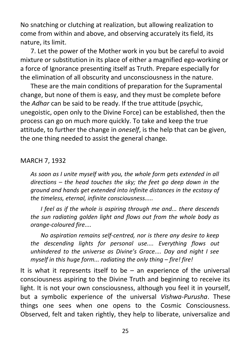No snatching or clutching at realization, but allowing realization to come from within and above, and observing accurately its field, its nature, its limit.

7. Let the power of the Mother work in you but be careful to avoid mixture or substitution in its place of either a magnified ego-working or a force of Ignorance presenting itself as Truth. Prepare especially for the elimination of all obscurity and unconsciousness in the nature.

These are the main conditions of preparation for the Supramental change, but none of them is easy, and they must be complete before the *Adhar* can be said to be ready. If the true attitude (psychic, unegoistic, open only to the Divine Force) can be established, then the process can go on much more quickly. To take and keep the true attitude, to further the change in *oneself*, is the help that can be given, the one thing needed to assist the general change.

#### MARCH 7, 1932

*As soon as I unite myself with you, the whole form gets extended in all directions – the head touches the sky; the feet go deep down in the ground and hands get extended into infinite distances in the ecstasy of the timeless, eternal, infinite consciousness.....*

*I feel as if the whole is aspiring through me and... there descends the sun radiating golden light and flows out from the whole body as orange-coloured fire....*

*No aspiration remains self-centred, nor is there any desire to keep the descending lights for personal use.... Everything flows out unhindered to the universe as Divine's Grace.... Day and night I see myself in this huge form... radiating the only thing – fire! fire!*

It is what it represents itself to be  $-$  an experience of the universal consciousness aspiring to the Divine Truth and beginning to receive its light. It is not your own consciousness, although you feel it in yourself, but a symbolic experience of the universal *Vishwa-Purusha*. These things one sees when one opens to the Cosmic Consciousness. Observed, felt and taken rightly, they help to liberate, universalize and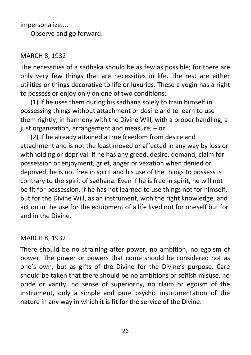impersonalize....

Observe and go forward.

#### MARCH 8, 1932

The necessities of a sadhaka should be as few as possible; for there are only very few things that are necessities in life. The rest are either utilities or things decorative to life or luxuries. These a yogin has a right to possess or enjoy only on one of two conditions:

(1) If he uses them during his sadhana solely to train himself in possessing things without attachment or desire and to learn to use them rightly, in harmony with the Divine Will, with a proper handling, a just organization, arrangement and measure; – or

(2) If he already attained a true freedom from desire and attachment and is not the least moved or affected in any way by loss or withholding or deprival. If he has any greed, desire, demand, claim for possession or enjoyment, grief, anger or vexation when denied or deprived, he is not free in spirit and his use of the things to possess is contrary to the spirit of sadhana. Even if he is free in spirit, he will not be fit for possession, if he has not learned to use things not for himself, but for the Divine Will, as an instrument, with the right knowledge, and action in the use for the equipment of a life lived not for oneself but for and in the Divine.

#### MARCH 8, 1932

There should be no straining after power, no ambition, no egoism of power. The power or powers that come should be considered not as one's own, but as gifts of the Divine for the Divine's purpose. Care should be taken that there should be no ambitions or selfish misuse, no pride or vanity, no sense of superiority, no claim or egoism of the instrument, only a simple and pure psychic instrumentation of the nature in any way in which it is fit for the service of the Divine.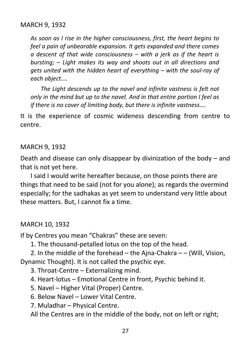#### MARCH 9, 1932

*As soon as I rise in the higher consciousness, first, the heart begins to feel a pain of unbearable expansion. It gets expanded and there comes a descent of that wide consciousness – with a jerk as if the heart is bursting; – Light makes its way and shoots out in all directions and gets united with the hidden heart of everything – with the soul-ray of each object....*

*The Light descends up to the navel and infinite vastness is felt not only in the mind but up to the navel. And in that entire portion I feel as if there is no cover of limiting body, but there is infinite vastness....*

It is the experience of cosmic wideness descending from centre to centre.

#### MARCH 9, 1932

Death and disease can only disappear by divinization of the body – and that is not yet here.

I said I would write hereafter because, on those points there are things that need to be said (not for you alone); as regards the overmind especially; for the sadhakas as yet seem to understand very little about these matters. But, I cannot fix a time.

#### MARCH 10, 1932

If by Centres you mean "Chakras" these are seven:

1. The thousand-petalled lotus on the top of the head.

2. In the middle of the forehead  $-$  the Ajna-Chakra  $-$  (Will, Vision, Dynamic Thought). It is not called the psychic eye.

- 3. Throat-Centre Externalizing mind.
- 4. Heart-lotus Emotional Centre in front, Psychic behind it.
- 5. Navel Higher Vital (Proper) Centre.
- 6. Below Navel Lower Vital Centre.
- 7. Muladhar Physical Centre.

All the Centres are in the middle of the body, not on left or right;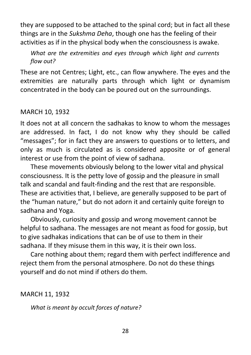they are supposed to be attached to the spinal cord; but in fact all these things are in the *Sukshma Deha*, though one has the feeling of their activities as if in the physical body when the consciousness is awake.

*What are the extremities and eyes through which light and currents flow out?*

These are not Centres; Light, etc., can flow anywhere. The eyes and the extremities are naturally parts through which light or dynamism concentrated in the body can be poured out on the surroundings.

#### MARCH 10, 1932

It does not at all concern the sadhakas to know to whom the messages are addressed. In fact, I do not know why they should be called "messages"; for in fact they are answers to questions or to letters, and only as much is circulated as is considered apposite or of general interest or use from the point of view of sadhana.

These movements obviously belong to the lower vital and physical consciousness. It is the petty love of gossip and the pleasure in small talk and scandal and fault-finding and the rest that are responsible. These are activities that, I believe, are generally supposed to be part of the "human nature," but do not adorn it and certainly quite foreign to sadhana and Yoga.

Obviously, curiosity and gossip and wrong movement cannot be helpful to sadhana. The messages are not meant as food for gossip, but to give sadhakas indications that can be of use to them in their sadhana. If they misuse them in this way, it is their own loss.

Care nothing about them; regard them with perfect indifference and reject them from the personal atmosphere. Do not do these things yourself and do not mind if others do them.

MARCH 11, 1932

*What is meant by occult forces of nature?*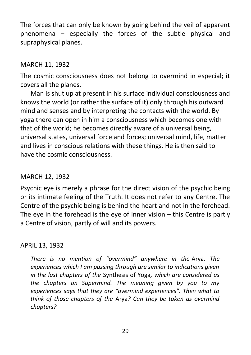The forces that can only be known by going behind the veil of apparent phenomena – especially the forces of the subtle physical and supraphysical planes.

#### MARCH 11, 1932

The cosmic consciousness does not belong to overmind in especial; it covers all the planes.

Man is shut up at present in his surface individual consciousness and knows the world (or rather the surface of it) only through his outward mind and senses and by interpreting the contacts with the world. By yoga there can open in him a consciousness which becomes one with that of the world; he becomes directly aware of a universal being, universal states, universal force and forces; universal mind, life, matter and lives in conscious relations with these things. He is then said to have the cosmic consciousness.

#### MARCH 12, 1932

Psychic eye is merely a phrase for the direct vision of the psychic being or its intimate feeling of the Truth. It does not refer to any Centre. The Centre of the psychic being is behind the heart and not in the forehead. The eye in the forehead is the eye of inner vision – this Centre is partly a Centre of vision, partly of will and its powers.

#### APRIL 13, 1932

*There is no mention of "overmind" anywhere in the* Arya*. The experiences which I am passing through are similar to indications given in the last chapters of the* Synthesis of Yoga*, which are considered as the chapters on Supermind. The meaning given by you to my experiences says that they are "overmind experiences". Then what to think of those chapters of the* Arya*? Can they be taken as overmind chapters?*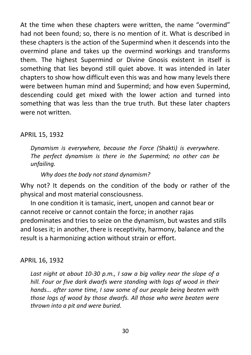At the time when these chapters were written, the name "overmind" had not been found; so, there is no mention of it. What is described in these chapters is the action of the Supermind when it descends into the overmind plane and takes up the overmind workings and transforms them. The highest Supermind or Divine Gnosis existent in itself is something that lies beyond still quiet above. It was intended in later chapters to show how difficult even this was and how many levels there were between human mind and Supermind; and how even Supermind, descending could get mixed with the lower action and turned into something that was less than the true truth. But these later chapters were not written.

#### APRIL 15, 1932

*Dynamism is everywhere, because the Force (*Shakti*) is everywhere. The perfect dynamism is there in the Supermind; no other can be unfailing.*

*Why does the body not stand dynamism?*

Why not? It depends on the condition of the body or rather of the physical and most material consciousness.

In one condition it is tamasic, inert, unopen and cannot bear or cannot receive or cannot contain the force; in another rajas predominates and tries to seize on the dynamism, but wastes and stills and loses it; in another, there is receptivity, harmony, balance and the result is a harmonizing action without strain or effort.

#### APRIL 16, 1932

*Last night at about 10-30 p.m., I saw a big valley near the slope of a hill. Four or five dark dwarfs were standing with logs of wood in their hands... after some time, I saw some of our people being beaten with those logs of wood by those dwarfs. All those who were beaten were thrown into a pit and were buried.*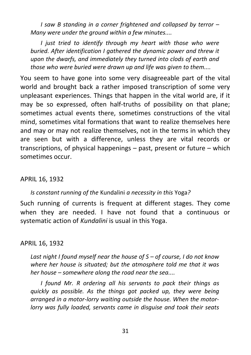*I saw B standing in a corner frightened and collapsed by terror – Many were under the ground within a few minutes....*

*I just tried to identify through my heart with those who were buried. After identification I gathered the dynamic power and threw it upon the dwarfs, and immediately they turned into clods of earth and those who were buried were drawn up and life was given to them....*

You seem to have gone into some very disagreeable part of the vital world and brought back a rather imposed transcription of some very unpleasant experiences. Things that happen in the vital world are, if it may be so expressed, often half-truths of possibility on that plane; sometimes actual events there, sometimes constructions of the vital mind, sometimes vital formations that want to realize themselves here and may or may not realize themselves, not in the terms in which they are seen but with a difference, unless they are vital records or transcriptions, of physical happenings – past, present or future – which sometimes occur.

#### APRIL 16, 1932

#### *Is constant running of the* Kundalini *a necessity in this* Yoga*?*

Such running of currents is frequent at different stages. They come when they are needed. I have not found that a continuous or systematic action of *Kundalini* is usual in this Yoga.

#### APRIL 16, 1932

*Last night I found myself near the house of S – of course, I do not know where her house is situated; but the atmosphere told me that it was her house – somewhere along the road near the sea....*

*I found Mr. R ordering all his servants to pack their things as quickly as possible. As the things got packed up, they were being arranged in a motor-lorry waiting outside the house. When the motorlorry was fully loaded, servants came in disguise and took their seats*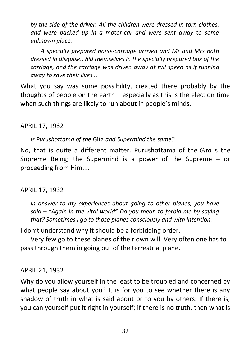*by the side of the driver. All the children were dressed in torn clothes, and were packed up in a motor-car and were sent away to some unknown place.*

*A specially prepared horse-carriage arrived and Mr and Mrs both dressed in disguise., hid themselves in the specially prepared box of the carriage, and the carriage was driven away at full speed as if running away to save their lives....*

What you say was some possibility, created there probably by the thoughts of people on the earth – especially as this is the election time when such things are likely to run about in people's minds.

#### APRIL 17, 1932

#### *Is Purushottama of the* Gita *and Supermind the same?*

No, that is quite a different matter. Purushottama of the *Gita* is the Supreme Being; the Supermind is a power of the Supreme – or proceeding from Him....

#### APRIL 17, 1932

*In answer to my experiences about going to other planes, you have said – "Again in the vital world" Do you mean to forbid me by saying that? Sometimes I go to those planes consciously and with intention.*

I don't understand why it should be a forbidding order.

Very few go to these planes of their own will. Very often one has to pass through them in going out of the terrestrial plane.

#### APRIL 21, 1932

Why do you allow yourself in the least to be troubled and concerned by what people say about you? It is for you to see whether there is any shadow of truth in what is said about or to you by others: If there is, you can yourself put it right in yourself; if there is no truth, then what is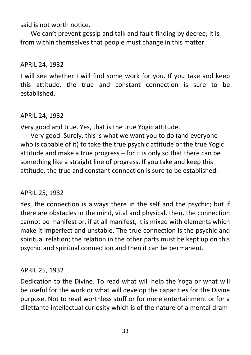said is not worth notice.

We can't prevent gossip and talk and fault-finding by decree; it is from within themselves that people must change in this matter.

#### APRIL 24, 1932

I will see whether I will find some work for you. If you take and keep this attitude, the true and constant connection is sure to be established.

#### APRIL 24, 1932

Very good and true. Yes, that is the true Yogic attitude.

Very good. Surely, this is what we want you to do (and everyone who is capable of it) to take the true psychic attitude or the true Yogic attitude and make a true progress – for it is only so that there can be something like a straight line of progress. If you take and keep this attitude, the true and constant connection is sure to be established.

#### APRIL 25, 1932

Yes, the connection is always there in the self and the psychic; but if there are obstacles in the mind, vital and physical, then, the connection cannot be manifest or, if at all manifest, it is mixed with elements which make it imperfect and unstable. The true connection is the psychic and spiritual relation; the relation in the other parts must be kept up on this psychic and spiritual connection and then it can be permanent.

#### APRIL 25, 1932

Dedication to the Divine. To read what will help the Yoga or what will be useful for the work or what will develop the capacities for the Divine purpose. Not to read worthless stuff or for mere entertainment or for a dilettante intellectual curiosity which is of the nature of a mental dram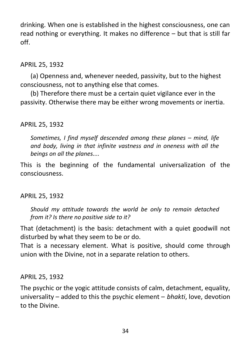drinking. When one is established in the highest consciousness, one can read nothing or everything. It makes no difference – but that is still far off.

#### APRIL 25, 1932

(a) Openness and, whenever needed, passivity, but to the highest consciousness, not to anything else that comes.

(b) Therefore there must be a certain quiet vigilance ever in the passivity. Otherwise there may be either wrong movements or inertia.

#### APRIL 25, 1932

*Sometimes, I find myself descended among these planes – mind, life and body, living in that infinite vastness and in oneness with all the beings on all the planes....*

This is the beginning of the fundamental universalization of the consciousness.

#### APRIL 25, 1932

*Should my attitude towards the world be only to remain detached from it? Is there no positive side to it?*

That (detachment) is the basis: detachment with a quiet goodwill not disturbed by what they seem to be or do.

That is a necessary element. What is positive, should come through union with the Divine, not in a separate relation to others.

#### APRIL 25, 1932

The psychic or the yogic attitude consists of calm, detachment, equality, universality – added to this the psychic element – *bhakti*, love, devotion to the Divine.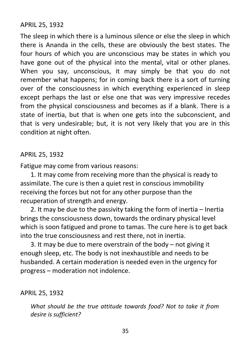#### APRIL 25, 1932

The sleep in which there is a luminous silence or else the sleep in which there is Ananda in the cells, these are obviously the best states. The four hours of which you are unconscious may be states in which you have gone out of the physical into the mental, vital or other planes. When you say, unconscious, it may simply be that you do not remember what happens; for in coming back there is a sort of turning over of the consciousness in which everything experienced in sleep except perhaps the last or else one that was very impressive recedes from the physical consciousness and becomes as if a blank. There is a state of inertia, but that is when one gets into the subconscient, and that is very undesirable; but, it is not very likely that you are in this condition at night often.

#### APRIL 25, 1932

Fatigue may come from various reasons:

1. It may come from receiving more than the physical is ready to assimilate. The cure is then a quiet rest in conscious immobility receiving the forces but not for any other purpose than the recuperation of strength and energy.

2. It may be due to the passivity taking the form of inertia – Inertia brings the consciousness down, towards the ordinary physical level which is soon fatigued and prone to tamas. The cure here is to get back into the true consciousness and rest there, not in inertia.

3. It may be due to mere overstrain of the body – not giving it enough sleep, etc. The body is not inexhaustible and needs to be husbanded. A certain moderation is needed even in the urgency for progress – moderation not indolence.

#### APRIL 25, 1932

*What should be the true attitude towards food? Not to take it from desire is sufficient?*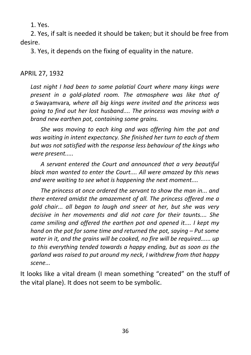1. Yes.

2. Yes, if salt is needed it should be taken; but it should be free from desire.

3. Yes, it depends on the fixing of equality in the nature.

#### APRIL 27, 1932

*Last night I had been to some palatial Court where many kings were present in a gold-plated room. The atmosphere was like that of a* Swayamvara*, where all big kings were invited and the princess was going to find out her lost husband.... The princess was moving with a brand new earthen pot, containing some grains.*

*She was moving to each king and was offering him the pot and was waiting in intent expectancy. She finished her turn to each of them but was not satisfied with the response less behaviour of the kings who were present.....*

*A servant entered the Court and announced that a very beautiful black man wanted to enter the Court.... All were amazed by this news and were waiting to see what is happening the next moment....*

*The princess at once ordered the servant to show the man in... and there entered amidst the amazement of all. The princess offered me a gold chair... all began to laugh and sneer at her, but she was very decisive in her movements and did not care for their taunts.... She came smiling and offered the earthen pot and opened it.... I kept my hand on the pot for some time and returned the pot, saying – Put some water in it, and the grains will be cooked, no fire will be required...... up to this everything tended towards a happy ending, but as soon as the garland was raised to put around my neck, I withdrew from that happy scene...*

It looks like a vital dream (I mean something "created" on the stuff of the vital plane). It does not seem to be symbolic.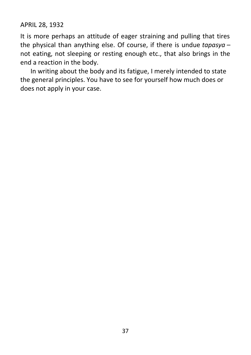#### APRIL 28, 1932

It is more perhaps an attitude of eager straining and pulling that tires the physical than anything else. Of course, if there is undue *tapasya* – not eating, not sleeping or resting enough etc., that also brings in the end a reaction in the body.

In writing about the body and its fatigue, I merely intended to state the general principles. You have to see for yourself how much does or does not apply in your case.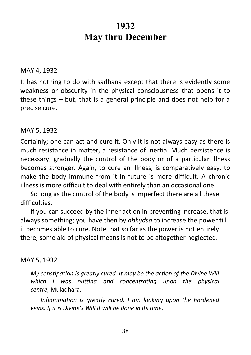## <span id="page-41-0"></span>**1932 May thru December**

MAY 4, 1932

It has nothing to do with sadhana except that there is evidently some weakness or obscurity in the physical consciousness that opens it to these things – but, that is a general principle and does not help for a precise cure.

MAY 5, 1932

Certainly; one can act and cure it. Only it is not always easy as there is much resistance in matter, a resistance of inertia. Much persistence is necessary; gradually the control of the body or of a particular illness becomes stronger. Again, to cure an illness, is comparatively easy, to make the body immune from it in future is more difficult. A chronic illness is more difficult to deal with entirely than an occasional one.

So long as the control of the body is imperfect there are all these difficulties.

If you can succeed by the inner action in preventing increase, that is always something; you have then by *abhydsa* to increase the power till it becomes able to cure. Note that so far as the power is not entirely there, some aid of physical means is not to be altogether neglected.

#### MAY 5, 1932

*My constipation is greatly cured. It may be the action of the Divine Will which I was putting and concentrating upon the physical centre,* Muladhara*.*

*Inflammation is greatly cured. I am looking upon the hardened veins. If it is Divine's Will it will be done in its time.*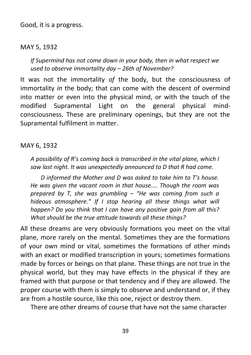Good, it is a progress.

#### MAY 5, 1932

*If Supermind has not come down in your body, then in what respect we used to observe immortality day – 26th of November?*

It was not the immortality *of* the body, but the consciousness of immortality *in* the body; that can come with the descent of overmind into matter or even into the physical mind, or with the touch of the modified Supramental Light on the general physical mindconsciousness. These are preliminary openings, but they are not the Supramental fulfilment in matter.

#### MAY 6, 1932

*A possibility of R's coming back is transcribed in the vital plane, which I saw last night. It was unexpectedly announced to D that R had come.*

*D informed the Mother and D was asked to take him to T's house. He was given the vacant room in that house.... Though the room was prepared by T, she was grumbling – "He was coming from such a hideous atmosphere." If I stop hearing all these things what will happen? Do you think that I can have any positive gain from all this? What should be the true attitude towards all these things?*

All these dreams are very obviously formations you meet on the vital plane, more rarely on the mental. Sometimes they are the formations of your own mind or vital, sometimes the formations of other minds with an exact or modified transcription in yours; sometimes formations made by forces or beings on that plane. These things are not true in the physical world, but they may have effects in the physical if they are framed with that purpose or that tendency and if they are allowed. The proper course with them is simply to observe and understand or, if they are from a hostile source, like this one, reject or destroy them.

There are other dreams of course that have not the same character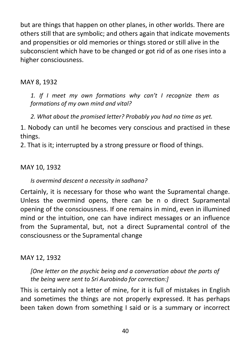but are things that happen on other planes, in other worlds. There are others still that are symbolic; and others again that indicate movements and propensities or old memories or things stored or still alive in the subconscient which have to be changed or got rid of as one rises into a higher consciousness.

#### MAY 8, 1932

*1. If I meet my own formations why can't I recognize them as formations of my own mind and vital?*

*2. What about the promised letter? Probably you had no time as yet.*

1. Nobody can until he becomes very conscious and practised in these things.

2. That is it; interrupted by a strong pressure or flood of things.

#### MAY 10, 1932

*Is overmind descent a necessity in sadhana?*

Certainly, it is necessary for those who want the Supramental change. Unless the overmind opens, there can be n o direct Supramental opening of the consciousness. If one remains in mind, even in illumined mind or the intuition, one can have indirect messages or an influence from the Supramental, but, not a direct Supramental control of the consciousness or the Supramental change

#### MAY 12, 1932

*[One letter on the psychic being and a conversation about the parts of the being were sent to Sri Aurobindo for correction:]*

This is certainly not a letter of mine, for it is full of mistakes in English and sometimes the things are not properly expressed. It has perhaps been taken down from something I said or is a summary or incorrect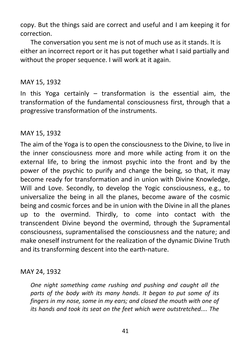copy. But the things said are correct and useful and I am keeping it for correction.

The conversation you sent me is not of much use as it stands. It is either an incorrect report or it has put together what I said partially and without the proper sequence. I will work at it again.

#### MAY 15, 1932

In this Yoga certainly  $-$  transformation is the essential aim, the transformation of the fundamental consciousness first, through that a progressive transformation of the instruments.

#### MAY 15, 1932

The aim of the Yoga is to open the consciousness to the Divine, to live in the inner consciousness more and more while acting from it on the external life, to bring the inmost psychic into the front and by the power of the psychic to purify and change the being, so that, it may become ready for transformation and in union with Divine Knowledge, Will and Love. Secondly, to develop the Yogic consciousness, e.g., to universalize the being in all the planes, become aware of the cosmic being and cosmic forces and be in union with the Divine in all the planes up to the overmind. Thirdly, to come into contact with the transcendent Divine beyond the overmind, through the Supramental consciousness, supramentalised the consciousness and the nature; and make oneself instrument for the realization of the dynamic Divine Truth and its transforming descent into the earth-nature.

#### MAY 24, 1932

*One night something came rushing and pushing and caught all the parts of the body with its many hands. It began to put some of its fingers in my nose, some in my ears; and closed the mouth with one of its hands and took its seat on the feet which were outstretched.... The*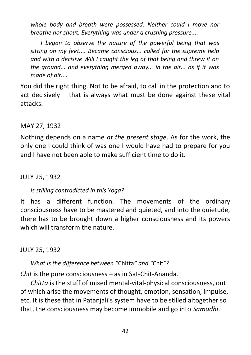*whole body and breath were possessed. Neither could I move nor breathe nor shout. Everything was under a crushing pressure....*

*I began to observe the nature of the powerful being that was sitting on my feet.... Became conscious... called for the supreme help and with a decisive Will I caught the leg of that being and threw it on the ground... and everything merged away... in the air... as if it was made of air....*

You did the right thing. Not to be afraid, to call in the protection and to act decisively – that is always what must be done against these vital attacks.

#### MAY 27, 1932

Nothing depends on a name *at the present stage*. As for the work, the only one I could think of was one I would have had to prepare for you and I have not been able to make sufficient time to do it.

#### JULY 25, 1932

#### *Is stilling contradicted in this Yoga?*

It has a different function. The movements of the ordinary consciousness have to be mastered and quieted, and into the quietude, there has to be brought down a higher consciousness and its powers which will transform the nature.

#### JULY 25, 1932

#### *What is the difference between "*Chitta*" and "*Chit*"?*

*Chit* is the pure consciousness – as in Sat-Chit-Ananda.

*Chitta* is the stuff of mixed mental-vital-physical consciousness, out of which arise the movements of thought, emotion, sensation, impulse, etc. It is these that in Patanjali's system have to be stilled altogether so that, the consciousness may become immobile and go into *Samadhi*.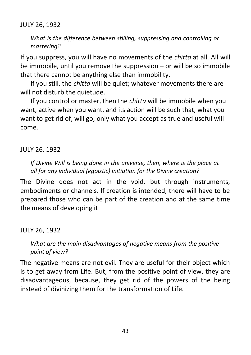#### JULY 26, 1932

*What is the difference between stilling, suppressing and controlling or mastering?*

If you suppress, you will have no movements of the *chitta* at all. All will be immobile, until you remove the suppression – or will be so immobile that there cannot be anything else than immobility.

If you still, the *chitta* will be quiet; whatever movements there are will not disturb the quietude.

If you control or master, then the *chitta* will be immobile when you want, active when you want, and its action will be such that, what you want to get rid of, will go; only what you accept as true and useful will come.

#### JULY 26, 1932

*If Divine Will is being done in the universe, then, where is the place at all for any individual (egoistic) initiation for the Divine creation?*

The Divine does not act in the void, but through instruments, embodiments or channels. If creation is intended, there will have to be prepared those who can be part of the creation and at the same time the means of developing it

JULY 26, 1932

*What are the main disadvantages of negative means from the positive point of view?*

The negative means are not evil. They are useful for their object which is to get away from Life. But, from the positive point of view, they are disadvantageous, because, they get rid of the powers of the being instead of divinizing them for the transformation of Life.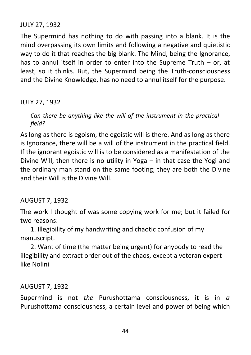#### JULY 27, 1932

The Supermind has nothing to do with passing into a blank. It is the mind overpassing its own limits and following a negative and quietistic way to do it that reaches the big blank. The Mind, being the Ignorance, has to annul itself in order to enter into the Supreme Truth – or, at least, so it thinks. But, the Supermind being the Truth-consciousness and the Divine Knowledge, has no need to annul itself for the purpose.

#### JULY 27, 1932

*Can there be anything like the will of the instrument in the practical field?*

As long as there is egoism, the egoistic will is there. And as long as there is Ignorance, there will be a will of the instrument in the practical field. If the ignorant egoistic will is to be considered as a manifestation of the Divine Will, then there is no utility in Yoga – in that case the Yogi and the ordinary man stand on the same footing; they are both the Divine and their Will is the Divine Will.

#### AUGUST 7, 1932

The work I thought of was some copying work for me; but it failed for two reasons:

1. Illegibility of my handwriting and chaotic confusion of my manuscript.

2. Want of time (the matter being urgent) for anybody to read the illegibility and extract order out of the chaos, except a veteran expert like Nolini

#### AUGUST 7, 1932

Supermind is not *the* Purushottama consciousness, it is in *a* Purushottama consciousness, a certain level and power of being which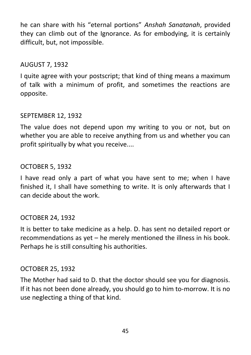he can share with his "eternal portions" *Anshah Sanatanah*, provided they can climb out of the Ignorance. As for embodying, it is certainly difficult, but, not impossible.

#### AUGUST 7, 1932

I quite agree with your postscript; that kind of thing means a maximum of talk with a minimum of profit, and sometimes the reactions are opposite.

#### SEPTEMBER 12, 1932

The value does not depend upon my writing to you or not, but on whether you are able to receive anything from us and whether you can profit spiritually by what you receive....

#### OCTOBER 5, 1932

I have read only a part of what you have sent to me; when I have finished it, I shall have something to write. It is only afterwards that I can decide about the work.

#### OCTOBER 24, 1932

It is better to take medicine as a help. D. has sent no detailed report or recommendations as yet – he merely mentioned the illness in his book. Perhaps he is still consulting his authorities.

#### OCTOBER 25, 1932

The Mother had said to D. that the doctor should see you for diagnosis. If it has not been done already, you should go to him to-morrow. It is no use neglecting a thing of that kind.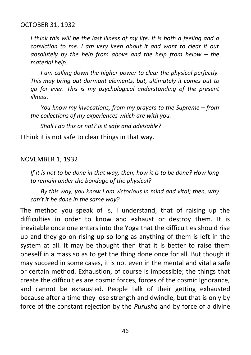#### OCTOBER 31, 1932

*I think this will be the last illness of my life. It is both a feeling and a conviction to me. I am very keen about it and want to clear it out absolutely by the help from above and the help from below – the material help.*

*I am calling down the higher power to clear the physical perfectly. This may bring out dormant elements, but, ultimately it comes out to go for ever. This is my psychological understanding of the present illness.*

*You know my invocations, from my prayers to the Supreme – from the collections of my experiences which are with you.*

*Shall I do this or not? Is it safe and advisable?*

I think it is not safe to clear things in that way.

#### NOVEMBER 1, 1932

*If it is not to be done in that way, then, how it is to be done? How long to remain under the bondage of the physical?*

*By this way, you know I am victorious in mind and vital; then, why can't it be done in the same way?*

The method you speak of is, I understand, that of raising up the difficulties in order to know and exhaust or destroy them. It is inevitable once one enters into the Yoga that the difficulties should rise up and they go on rising up so long as anything of them is left in the system at all. It may be thought then that it is better to raise them oneself in a mass so as to get the thing done once for all. But though it may succeed in some cases, it is not even in the mental and vital a safe or certain method. Exhaustion, of course is impossible; the things that create the difficulties are cosmic forces, forces of the cosmic Ignorance, and cannot be exhausted. People talk of their getting exhausted because after a time they lose strength and dwindle, but that is only by force of the constant rejection by the *Purusha* and by force of a divine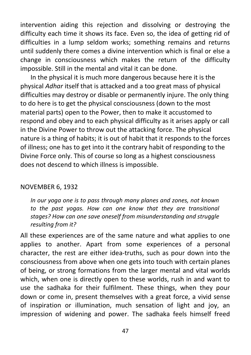intervention aiding this rejection and dissolving or destroying the difficulty each time it shows its face. Even so, the idea of getting rid of difficulties in a lump seldom works; something remains and returns until suddenly there comes a divine intervention which is final or else a change in consciousness which makes the return of the difficulty impossible. Still in the mental and vital it can be done.

In the physical it is much more dangerous because here it is the physical *Adhar* itself that is attacked and a too great mass of physical difficulties may destroy or disable or permanently injure. The only thing to do here is to get the physical consciousness (down to the most material parts) open to the Power, then to make it accustomed to respond and obey and to each physical difficulty as it arises apply or call in the Divine Power to throw out the attacking force. The physical nature is a thing of habits; it is out of habit that it responds to the forces of illness; one has to get into it the contrary habit of responding to the Divine Force only. This of course so long as a highest consciousness does not descend to which illness is impossible.

#### NOVEMBER 6, 1932

*In our yoga one is to pass through many planes and zones, not known to the past yogas. How can one know that they are transitional stages? How can one save oneself from misunderstanding and struggle resulting from it?*

All these experiences are of the same nature and what applies to one applies to another. Apart from some experiences of a personal character, the rest are either idea-truths, such as pour down into the consciousness from above when one gets into touch with certain planes of being, or strong formations from the larger mental and vital worlds which, when one is directly open to these worlds, rush in and want to use the sadhaka for their fulfilment. These things, when they pour down or come in, present themselves with a great force, a vivid sense of inspiration or illumination, much sensation of light and joy, an impression of widening and power. The sadhaka feels himself freed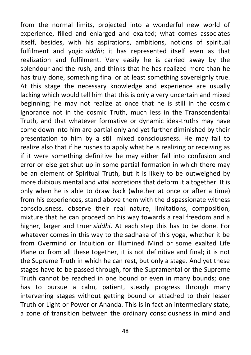from the normal limits, projected into a wonderful new world of experience, filled and enlarged and exalted; what comes associates itself, besides, with his aspirations, ambitions, notions of spiritual fulfilment and yogic *siddhi*; it has represented itself even as that realization and fulfilment. Very easily he is carried away by the splendour and the rush, and thinks that he has realized more than he has truly done, something final or at least something sovereignly true. At this stage the necessary knowledge and experience are usually lacking which would tell him that this is only a very uncertain and mixed beginning; he may not realize at once that he is still in the cosmic Ignorance not in the cosmic Truth, much less in the Transcendental Truth, and that whatever formative or dynamic idea-truths may have come down into him are partial only and yet further diminished by their presentation to him by a still mixed consciousness. He may fail to realize also that if he rushes to apply what he is realizing or receiving as if it were something definitive he may either fall into confusion and error or else get shut up in some partial formation in which there may be an element of Spiritual Truth, but it is likely to be outweighed by more dubious mental and vital accretions that deform it altogether. It is only when he is able to draw back (whether at once or after a time) from his experiences, stand above them with the dispassionate witness consciousness, observe their real nature, limitations, composition, mixture that he can proceed on his way towards a real freedom and a higher, larger and truer *siddhi*. At each step this has to be done. For whatever comes in this way to the sadhaka of this yoga, whether it be from Overmind or Intuition or Illumined Mind or some exalted Life Plane or from all these together, it is not definitive and final; it is not the Supreme Truth in which he can rest, but only a stage. And yet these stages have to be passed through, for the Supramental or the Supreme Truth cannot be reached in one bound or even in many bounds; one has to pursue a calm, patient, steady progress through many intervening stages without getting bound or attached to their lesser Truth or Light or Power or Ananda. This is in fact an intermediary state, a zone of transition between the ordinary consciousness in mind and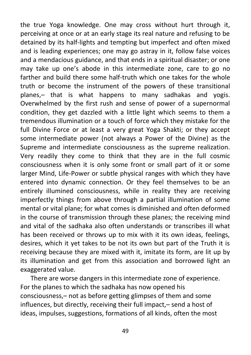the true Yoga knowledge. One may cross without hurt through it, perceiving at once or at an early stage its real nature and refusing to be detained by its half-lights and tempting but imperfect and often mixed and is leading experiences; one may go astray in it, follow false voices and a mendacious guidance, and that ends in a spiritual disaster; or one may take up one's abode in this intermediate zone, care to go no farther and build there some half-truth which one takes for the whole truth or become the instrument of the powers of these transitional planes,– that is what happens to many sadhakas and yogis. Overwhelmed by the first rush and sense of power of a supernormal condition, they get dazzled with a little light which seems to them a tremendous illumination or a touch of force which they mistake for the full Divine Force or at least a very great Yoga Shakti; or they accept some intermediate power (not always a Power of the Divine) as the Supreme and intermediate consciousness as the supreme realization. Very readily they come to think that they are in the full cosmic consciousness when it is only some front or small part of it or some larger Mind, Life-Power or subtle physical ranges with which they have entered into dynamic connection. Or they feel themselves to be an entirely illumined consciousness, while in reality they are receiving imperfectly things from above through a partial illumination of some mental or vital plane; for what comes is diminished and often deformed in the course of transmission through these planes; the receiving mind and vital of the sadhaka also often understands or transcribes ill what has been received or throws up to mix with it its own ideas, feelings, desires, which it yet takes to be not its own but part of the Truth it is receiving because they are mixed with it, imitate its form, are lit up by its illumination and get from this association and borrowed light an exaggerated value.

There are worse dangers in this intermediate zone of experience. For the planes to which the sadhaka has now opened his consciousness,– not as before getting glimpses of them and some influences, but directly, receiving their full impact,– send a host of ideas, impulses, suggestions, formations of all kinds, often the most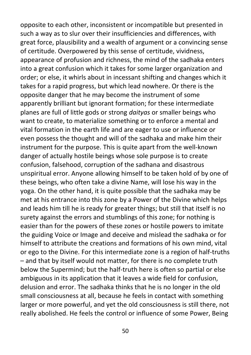opposite to each other, inconsistent or incompatible but presented in such a way as to slur over their insufficiencies and differences, with great force, plausibility and a wealth of argument or a convincing sense of certitude. Overpowered by this sense of certitude, vividness, appearance of profusion and richness, the mind of the sadhaka enters into a great confusion which it takes for some larger organization and order; or else, it whirls about in incessant shifting and changes which it takes for a rapid progress, but which lead nowhere. Or there is the opposite danger that he may become the instrument of some apparently brilliant but ignorant formation; for these intermediate planes are full of little gods or strong *daityas* or smaller beings who want to create, to materialize something or to enforce a mental and vital formation in the earth life and are eager to use or influence or even possess the thought and will of the sadhaka and make him their instrument for the purpose. This is quite apart from the well-known danger of actually hostile beings whose sole purpose is to create confusion, falsehood, corruption of the sadhana and disastrous unspiritual error. Anyone allowing himself to be taken hold of by one of these beings, who often take a divine Name, will lose his way in the yoga. On the other hand, it is quite possible that the sadhaka may be met at his entrance into this zone by a Power of the Divine which helps and leads him till he is ready for greater things; but still that itself is no surety against the errors and stumblings of this zone; for nothing is easier than for the powers of these zones or hostile powers to imitate the guiding Voice or Image and deceive and mislead the sadhaka or for himself to attribute the creations and formations of his own mind, vital or ego to the Divine. For this intermediate zone is a region of half-truths – and that by itself would not matter, for there is no complete truth below the Supermind; but the half-truth here is often so partial or else ambiguous in its application that it leaves a wide field for confusion, delusion and error. The sadhaka thinks that he is no longer in the old small consciousness at all, because he feels in contact with something larger or more powerful, and yet the old consciousness is still there, not really abolished. He feels the control or influence of some Power, Being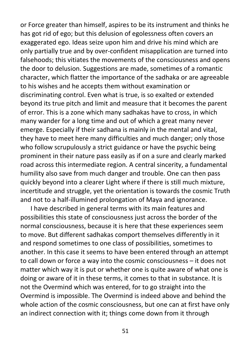or Force greater than himself, aspires to be its instrument and thinks he has got rid of ego; but this delusion of egolessness often covers an exaggerated ego. Ideas seize upon him and drive his mind which are only partially true and by over-confident misapplication are turned into falsehoods; this vitiates the movements of the consciousness and opens the door to delusion. Suggestions are made, sometimes of a romantic character, which flatter the importance of the sadhaka or are agreeable to his wishes and he accepts them without examination or discriminating control. Even what is true, is so exalted or extended beyond its true pitch and limit and measure that it becomes the parent of error. This is a zone which many sadhakas have to cross, in which many wander for a long time and out of which a great many never emerge. Especially if their sadhana is mainly in the mental and vital, they have to meet here many difficulties and much danger; only those who follow scrupulously a strict guidance or have the psychic being prominent in their nature pass easily as if on a sure and clearly marked road across this intermediate region. A central sincerity, a fundamental humility also save from much danger and trouble. One can then pass quickly beyond into a clearer Light where if there is still much mixture, incertitude and struggle, yet the orientation is towards the cosmic Truth and not to a half-illumined prolongation of Maya and ignorance.

I have described in general terms with its main features and possibilities this state of consciousness just across the border of the normal consciousness, because it is here that these experiences seem to move. But different sadhakas comport themselves differently in it and respond sometimes to one class of possibilities, sometimes to another. In this case it seems to have been entered through an attempt to call down or force a way into the cosmic consciousness – it does not matter which way it is put or whether one is quite aware of what one is doing or aware of it in these terms, it comes to that in substance. It is not the Overmind which was entered, for to go straight into the Overmind is impossible. The Overmind is indeed above and behind the whole action of the cosmic consciousness, but one can at first have only an indirect connection with it; things come down from it through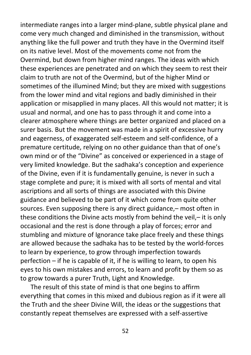intermediate ranges into a larger mind-plane, subtle physical plane and come very much changed and diminished in the transmission, without anything like the full power and truth they have in the Overmind itself on its native level. Most of the movements come not from the Overmind, but down from higher mind ranges. The ideas with which these experiences are penetrated and on which they seem to rest their claim to truth are not of the Overmind, but of the higher Mind or sometimes of the illumined Mind; but they are mixed with suggestions from the lower mind and vital regions and badly diminished in their application or misapplied in many places. All this would not matter; it is usual and normal, and one has to pass through it and come into a clearer atmosphere where things are better organized and placed on a surer basis. But the movement was made in a spirit of excessive hurry and eagerness, of exaggerated self-esteem and self-confidence, of a premature certitude, relying on no other guidance than that of one's own mind or of the "Divine" as conceived or experienced in a stage of very limited knowledge. But the sadhaka's conception and experience of the Divine, even if it is fundamentally genuine, is never in such a stage complete and pure; it is mixed with all sorts of mental and vital ascriptions and all sorts of things are associated with this Divine guidance and believed to be part of it which come from quite other sources. Even supposing there is any direct guidance, most often in these conditions the Divine acts mostly from behind the veil,– it is only occasional and the rest is done through a play of forces; error and stumbling and mixture of Ignorance take place freely and these things are allowed because the sadhaka has to be tested by the world-forces to learn by experience, to grow through imperfection towards perfection – if he is capable of it, if he is willing to learn, to open his eyes to his own mistakes and errors, to learn and profit by them so as to grow towards a purer Truth, Light and Knowledge.

The result of this state of mind is that one begins to affirm everything that comes in this mixed and dubious region as if it were all the Truth and the sheer Divine Will, the ideas or the suggestions that constantly repeat themselves are expressed with a self-assertive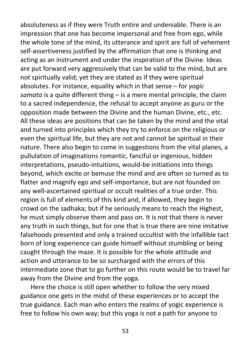absoluteness as if they were Truth entire and undeniable. There is an impression that one has become impersonal and free from ego, while the whole tone of the mind, its utterance and spirit are full of vehement self-assertiveness justified by the affirmation that one is thinking and acting as an instrument and under the inspiration of the Divine. Ideas are put forward very aggressively that can be valid to the mind, but are not spiritually valid; yet they are stated as if they were spiritual absolutes. For instance, equality which in that sense – for *yogic samata* is a quite different thing – is a mere mental principle, the claim to a sacred independence, the refusal to accept anyone as guru or the opposition made between the Divine and the human Divine, etc., etc. All these ideas are positions that can be taken by the mind and the vital and turned into principles which they try to enforce on the religious or even the spiritual life, but they are not and cannot be spiritual in their nature. There also begin to come in suggestions from the vital planes, a pullulation of imaginations romantic, fanciful or ingenious, hidden interpretations, pseudo-intuitions, would-be initiations into things beyond, which excite or bemuse the mind and are often so turned as to flatter and magnify ego and self-importance, but are not founded on any well-ascertained spiritual or occult realities of a true order. This region is full of elements of this kind and, if allowed, they begin to crowd on the sadhaka; but if he seriously means to reach the Highest, he must simply observe them and pass on. It is not that there is never any truth in such things, but for one that is true there are nine imitative falsehoods presented and only a trained occultist with the infallible tact born of long experience can guide himself without stumbling or being caught through the maze. It is possible for the whole attitude and action and utterance to be so surcharged with the errors of this intermediate zone that to go further on this route would be to travel far away from the Divine and from the yoga.

Here the choice is still open whether to follow the very mixed guidance one gets in the midst of these experiences or to accept the true guidance. Each man who enters the realms of yogic experience is free to follow his own way; but this yoga is not a path for anyone to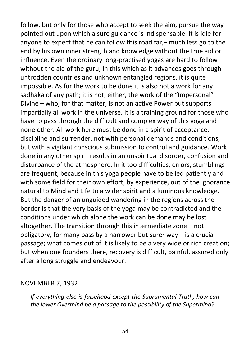follow, but only for those who accept to seek the aim, pursue the way pointed out upon which a sure guidance is indispensable. It is idle for anyone to expect that he can follow this road far,– much less go to the end by his own inner strength and knowledge without the true aid or influence. Even the ordinary long-practised yogas are hard to follow without the aid of the guru; in this which as it advances goes through untrodden countries and unknown entangled regions, it is quite impossible. As for the work to be done it is also not a work for any sadhaka of any path; it is not, either, the work of the "Impersonal" Divine – who, for that matter, is not an active Power but supports impartially all work in the universe. It is a training ground for those who have to pass through the difficult and complex way of this yoga and none other. All work here must be done in a spirit of acceptance, discipline and surrender, not with personal demands and conditions, but with a vigilant conscious submission to control and guidance. Work done in any other spirit results in an unspiritual disorder, confusion and disturbance of the atmosphere. In it too difficulties, errors, stumblings are frequent, because in this yoga people have to be led patiently and with some field for their own effort, by experience, out of the ignorance natural to Mind and Life to a wider spirit and a luminous knowledge. But the danger of an unguided wandering in the regions across the border is that the very basis of the yoga may be contradicted and the conditions under which alone the work can be done may be lost altogether. The transition through this intermediate zone – not obligatory, for many pass by a narrower but surer way – is a crucial passage; what comes out of it is likely to be a very wide or rich creation; but when one founders there, recovery is difficult, painful, assured only after a long struggle and endeavour.

#### NOVEMBER 7, 1932

*If everything else is falsehood except the Supramental Truth, how can the lower Overmind be a passage to the possibility of the Supermind?*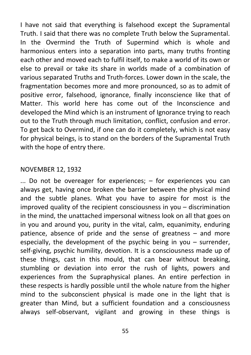I have not said that everything is falsehood except the Supramental Truth. I said that there was no complete Truth below the Supramental. In the Overmind the Truth of Supermind which is whole and harmonious enters into a separation into parts, many truths fronting each other and moved each to fulfil itself, to make a world of its own or else to prevail or take its share in worlds made of a combination of various separated Truths and Truth-forces. Lower down in the scale, the fragmentation becomes more and more pronounced, so as to admit of positive error, falsehood, ignorance, finally inconscience like that of Matter. This world here has come out of the Inconscience and developed the Mind which is an instrument of Ignorance trying to reach out to the Truth through much limitation, conflict, confusion and error. To get back to Overmind, if one can do it completely, which is not easy for physical beings, is to stand on the borders of the Supramental Truth with the hope of entry there.

#### NOVEMBER 12, 1932

... Do not be overeager for experiences; – for experiences you can always get, having once broken the barrier between the physical mind and the subtle planes. What you have to aspire for most is the improved quality of the recipient consciousness in you – discrimination in the mind, the unattached impersonal witness look on all that goes on in you and around you, purity in the vital, calm, equanimity, enduring patience, absence of pride and the sense of greatness – and more especially, the development of the psychic being in you – surrender, self-giving, psychic humility, devotion. It is a consciousness made up of these things, cast in this mould, that can bear without breaking, stumbling or deviation into error the rush of lights, powers and experiences from the Supraphysical planes. An entire perfection in these respects is hardly possible until the whole nature from the higher mind to the subconscient physical is made one in the light that is greater than Mind, but a sufficient foundation and a consciousness always self-observant, vigilant and growing in these things is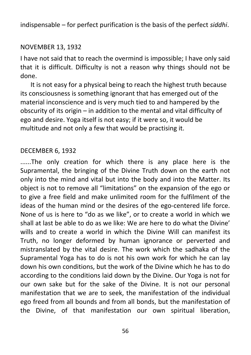indispensable – for perfect purification is the basis of the perfect *siddhi*.

#### NOVEMBER 13, 1932

I have not said that to reach the overmind is impossible; I have only said that it is difficult. Difficulty is not a reason why things should not be done.

It is not easy for a physical being to reach the highest truth because its consciousness is something ignorant that has emerged out of the material inconscience and is very much tied to and hampered by the obscurity of its origin – in addition to the mental and vital difficulty of ego and desire. Yoga itself is not easy; if it were so, it would be multitude and not only a few that would be practising it.

#### DECEMBER 6, 1932

......The only creation for which there is any place here is the Supramental, the bringing of the Divine Truth down on the earth not only into the mind and vital but into the body and into the Matter. Its object is not to remove all "limitations" on the expansion of the ego or to give a free field and make unlimited room for the fulfilment of the ideas of the human mind or the desires of the ego-centered life force. None of us is here to "do as we like", or to create a world in which we shall at last be able to do as we like: We are here to do what the Divine' wills and to create a world in which the Divine Will can manifest its Truth, no longer deformed by human ignorance or perverted and mistranslated by the vital desire. The work which the sadhaka of the Supramental Yoga has to do is not his own work for which he can lay down his own conditions, but the work of the Divine which he has to do according to the conditions laid down by the Divine. Our Yoga is not for our own sake but for the sake of the Divine. It is not our personal manifestation that we are to seek, the manifestation of the individual ego freed from all bounds and from all bonds, but the manifestation of the Divine, of that manifestation our own spiritual liberation,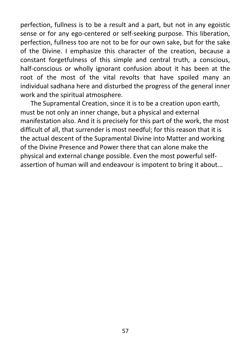perfection, fullness is to be a result and a part, but not in any egoistic sense or for any ego-centered or self-seeking purpose. This liberation, perfection, fullness too are not to be for our own sake, but for the sake of the Divine. I emphasize this character of the creation, because a constant forgetfulness of this simple and central truth, a conscious, half-conscious or wholly ignorant confusion about it has been at the root of the most of the vital revolts that have spoiled many an individual sadhana here and disturbed the progress of the general inner work and the spiritual atmosphere.

The Supramental Creation, since it is to be a creation upon earth, must be not only an inner change, but a physical and external manifestation also. And it is precisely for this part of the work, the most difficult of all, that surrender is most needful; for this reason that it is the actual descent of the Supramental Divine into Matter and working of the Divine Presence and Power there that can alone make the physical and external change possible. Even the most powerful selfassertion of human will and endeavour is impotent to bring it about...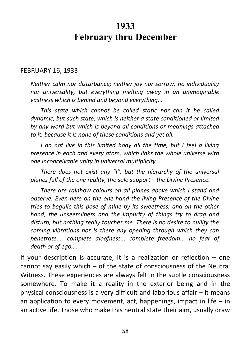## <span id="page-61-0"></span>**1933 February thru December**

#### FEBRUARY 16, 1933

*Neither calm nor disturbance; neither joy nor sorrow; no individuality nor universality, but everything melting away in an unimaginable vastness which is behind and beyond everything...*

*This state which cannot be called static nor can it be called dynamic, but such state, which is neither a state conditioned or limited by any word but which is beyond all conditions or meanings attached to it, because it is none of these conditions and yet all.*

*I do not live in this limited body all the time, but I feel a living presence in each and every atom, which links the whole universe with one inconceivable unity in universal multiplicity...*

*There does not exist any "I", but the hierarchy of the universal planes full of the one reality, the sole support – the Divine Presence.*

*There are rainbow colours on all planes above which I stand and observe. Even here on the one hand the living Presence of the Divine tries to beguile this pose of mine by its sweetness; and on the other hand, the unseemliness and the impurity of things try to drag and disturb, but nothing really touches me. There is no desire to nullify the coming vibrations nor is there any opening through which they can penetrate.... complete aloofness... complete freedom... no fear of death or of ego....*

If your description is accurate, it is a realization or reflection – one cannot say easily which – of the state of consciousness of the Neutral Witness. These experiences are always felt in the subtle consciousness somewhere. To make it a reality in the exterior being and in the physical consciousness is a very difficult and laborious affair – it means an application to every movement, act, happenings, impact in life  $-$  in an active life. Those who make this neutral state their aim, usually draw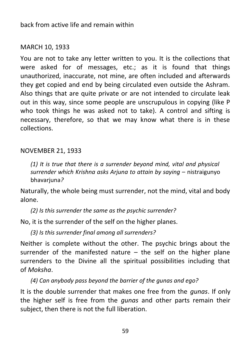back from active life and remain within

#### MARCH 10, 1933

You are not to take any letter written to you. It is the collections that were asked for of messages, etc.; as it is found that things unauthorized, inaccurate, not mine, are often included and afterwards they get copied and end by being circulated even outside the Ashram. Also things that are quite private or are not intended to circulate leak out in this way, since some people are unscrupulous in copying (like P who took things he was asked not to take). A control and sifting is necessary, therefore, so that we may know what there is in these collections.

#### NOVEMBER 21, 1933

*(1) It is true that there is a surrender beyond mind, vital and physical surrender which Krishna asks Arjuna to attain by saying –* nistraigunyo bhavarjuna*?*

Naturally, the whole being must surrender, not the mind, vital and body alone.

*(2) Is this surrender the same as the psychic surrender?*

No, it is the surrender of the self on the higher planes.

*(3) Is this surrender final among all surrenders?*

Neither is complete without the other. The psychic brings about the surrender of the manifested nature  $-$  the self on the higher plane surrenders to the Divine all the spiritual possibilities including that of *Moksha*.

*(4) Can anybody pass beyond the barrier of the gunas and ego?*

It is the double surrender that makes one free from the *gunas*. If only the higher self is free from the *gunas* and other parts remain their subject, then there is not the full liberation.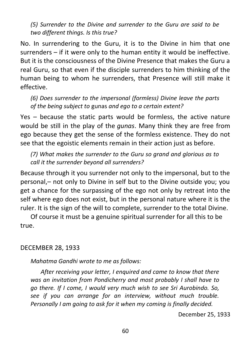*(5) Surrender to the Divine and surrender to the Guru are said to be two different things. Is this true?*

No. In surrendering to the Guru, it is to the Divine in him that one surrenders – if it were only to the human entity it would be ineffective. But it is the consciousness of the Divine Presence that makes the Guru a real Guru, so that even if the disciple surrenders to him thinking of the human being to whom he surrenders, that Presence will still make it effective.

*(6) Does surrender to the impersonal (formless) Divine leave the parts of the being subject to* gunas *and ego to a certain extent?*

Yes – because the static parts would be formless, the active nature would be still in the play of the *gunas*. Many think they are free from ego because they get the sense of the formless existence. They do not see that the egoistic elements remain in their action just as before.

*(7) What makes the surrender to the Guru so grand and glorious as to call it the surrender beyond all surrenders?*

Because through it you surrender not only to the impersonal, but to the personal,– not only to Divine in self but to the Divine outside you; you get a chance for the surpassing of the ego not only by retreat into the self where ego does not exist, but in the personal nature where it is the ruler. It is the sign of the will to complete, surrender to the total Divine.

Of course it must be a genuine spiritual surrender for all this to be true.

#### DECEMBER 28, 1933

*Mahatma Gandhi wrote to me as follows:*

*After receiving your letter, I enquired and came to know that there was an invitation from Pondicherry and most probably I shall have to go there. If I come, I would very much wish to see Sri Aurobindo. So, see if you can arrange for an interview, without much trouble. Personally I am going to ask for it when my coming is finally decided.*

December 25, 1933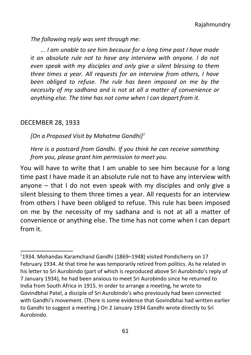*The following reply was sent through me:*

*... I am unable to see him because for a long time past I have made it an absolute rule not to have any interview with anyone. I do not even speak with my disciples and only give a silent blessing to them three times a year. All requests for an interview from others, I have been obliged to refuse. The rule has been imposed on me by the necessity of my sadhana and is not at all a matter of convenience or anything else. The time has not come when I can depart from it.*

#### DECEMBER 28, 1933

*[On a Proposed Visit by Mahatma Gandhi][1](#page-64-0)*

*Here is a postcard from Gandhi. If you think he can receive something from you, please grant him permission to meet you.*

You will have to write that I am unable to see him because for a long time past I have made it an absolute rule not to have any interview with anyone – that I do not even speak with my disciples and only give a silent blessing to them three times a year. All requests for an interview from others I have been obliged to refuse. This rule has been imposed on me by the necessity of my sadhana and is not at all a matter of convenience or anything else. The time has not come when I can depart from it.

<span id="page-64-0"></span><sup>1</sup> 1934. Mohandas Karamchand Gandhi (1869–1948) visited Pondicherry on 17 February 1934. At that time he was temporarily retired from politics. As he related in his letter to Sri Aurobindo (part of which is reproduced above Sri Aurobindo's reply of 7 January 1934), he had been anxious to meet Sri Aurobindo since he returned to India from South Africa in 1915. In order to arrange a meeting, he wrote to Govindbhai Patel, a disciple of Sri Aurobindo's who previously had been connected with Gandhi's movement. (There is some evidence that Govindbhai had written earlier to Gandhi to suggest a meeting.) On 2 January 1934 Gandhi wrote directly to Sri Aurobindo.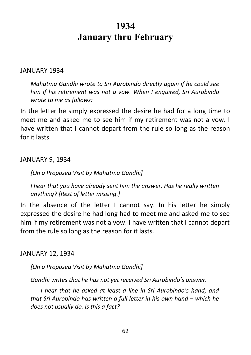## <span id="page-65-0"></span>**1934 January thru February**

#### JANUARY 1934

*Mahatma Gandhi wrote to Sri Aurobindo directly again if he could see him if his retirement was not a vow. When I enquired, Sri Aurobindo wrote to me as follows:*

In the letter he simply expressed the desire he had for a long time to meet me and asked me to see him if my retirement was not a vow. I have written that I cannot depart from the rule so long as the reason for it lasts.

#### JANUARY 9, 1934

*[On a Proposed Visit by Mahatma Gandhi]*

*I hear that you have already sent him the answer. Has he really written anything? [Rest of letter missing.]*

In the absence of the letter I cannot say. In his letter he simply expressed the desire he had long had to meet me and asked me to see him if my retirement was not a vow. I have written that I cannot depart from the rule so long as the reason for it lasts.

#### JANUARY 12, 1934

*[On a Proposed Visit by Mahatma Gandhi]*

*Gandhi writes that he has not yet received Sri Aurobindo's answer.*

*I hear that he asked at least a line in Sri Aurobindo's hand; and that Sri Aurobindo has written a full letter in his own hand – which he does not usually do. Is this a fact?*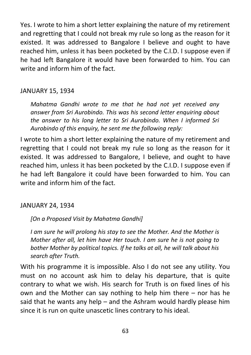Yes. I wrote to him a short letter explaining the nature of my retirement and regretting that I could not break my rule so long as the reason for it existed. It was addressed to Bangalore I believe and ought to have reached him, unless it has been pocketed by the C.I.D. I suppose even if he had left Bangalore it would have been forwarded to him. You can write and inform him of the fact.

#### JANUARY 15, 1934

*Mahatma Gandhi wrote to me that he had not yet received any answer from Sri Aurobindo. This was his second letter enquiring about the answer to his long letter to Sri Aurobindo. When I informed Sri Aurobindo of this enquiry, he sent me the following reply:*

I wrote to him a short letter explaining the nature of my retirement and regretting that I could not break my rule so long as the reason for it existed. It was addressed to Bangalore, I believe, and ought to have reached him, unless it has been pocketed by the C.I.D. I suppose even if he had left Bangalore it could have been forwarded to him. You can write and inform him of the fact.

#### JANUARY 24, 1934

*[On a Proposed Visit by Mahatma Gandhi]*

*I am sure he will prolong his stay to see the Mother. And the Mother is Mother after all, let him have Her touch. I am sure he is not going to bother Mother by political topics. If he talks at all, he will talk about his search after Truth.*

With his programme it is impossible. Also I do not see any utility. You must on no account ask him to delay his departure, that is quite contrary to what we wish. His search for Truth is on fixed lines of his own and the Mother can say nothing to help him there – nor has he said that he wants any help – and the Ashram would hardly please him since it is run on quite unascetic lines contrary to his ideal.